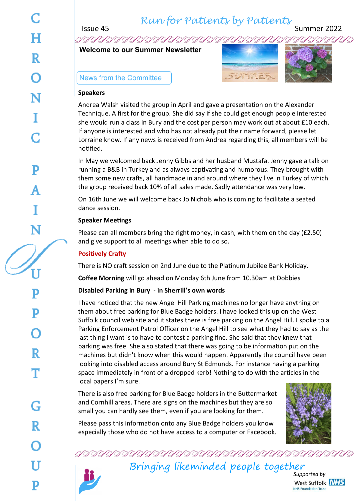*Run for Patients by Patients*

Issue 45 Summer 2022

**Welcome to our Summer Newsletter**





#### News from the Committee

#### **Speakers**

Andrea Walsh visited the group in April and gave a presentation on the Alexander Technique. A first for the group. She did say if she could get enough people interested she would run a class in Bury and the cost per person may work out at about £10 each. If anyone is interested and who has not already put their name forward, please let Lorraine know. If any news is received from Andrea regarding this, all members will be notified.

In May we welcomed back Jenny Gibbs and her husband Mustafa. Jenny gave a talk on running a B&B in Turkey and as always captivating and humorous. They brought with them some new crafts, all handmade in and around where they live in Turkey of which the group received back 10% of all sales made. Sadly attendance was very low.

On 16th June we will welcome back Jo Nichols who is coming to facilitate a seated dance session.

#### **Speaker Meetings**

Please can all members bring the right money, in cash, with them on the day (£2.50) and give support to all meetings when able to do so.

### **Positively Crafty**

There is NO craft session on 2nd June due to the Platinum Jubilee Bank Holiday.

**Coffee Morning** will go ahead on Monday 6th June from 10.30am at Dobbies

#### **Disabled Parking in Bury - in Sherrill's own words**

I have noticed that the new Angel Hill Parking machines no longer have anything on them about free parking for Blue Badge holders. I have looked this up on the West Suffolk council web site and it states there is free parking on the Angel Hill. I spoke to a Parking Enforcement Patrol Officer on the Angel Hill to see what they had to say as the last thing I want is to have to contest a parking fine. She said that they knew that parking was free. She also stated that there was going to be information put on the machines but didn't know when this would happen. Apparently the council have been looking into disabled access around Bury St Edmunds. For instance having a parking space immediately in front of a dropped kerb! Nothing to do with the articles in the local papers I'm sure.

There is also free parking for Blue Badge holders in the Buttermarket and Cornhill areas. There are signs on the machines but they are so small you can hardly see them, even if you are looking for them.



Please pass this information onto any Blue Badge holders you know especially those who do not have access to a computer or Facebook.

Bringing likeminded people together

*Supported by* West Suffolk NHS **NHS Foundation Trust**